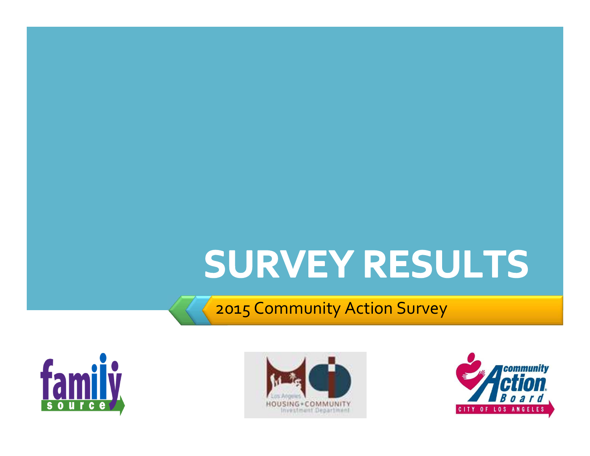# SURVEY RESULTS

2015 Community Action Survey





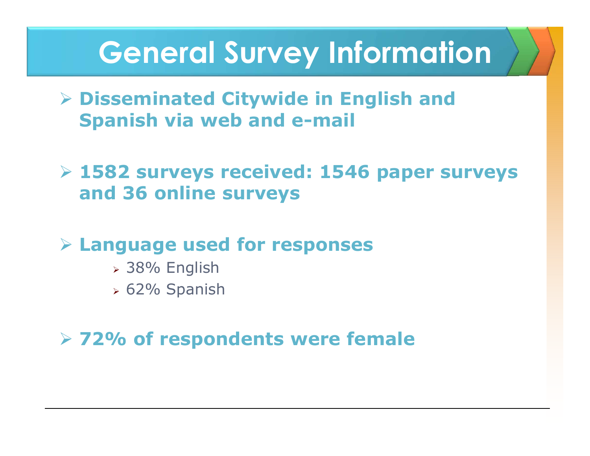### **General Survey Information**

- **Disseminated Citywide in English and Spanish via web and e-mail**
- **1582 surveys received: 1546 paper surveys and 36 online surveys**
- **Language used for responses** 
	- 38% English
	- 62% Spanish
- **72% of respondents were female**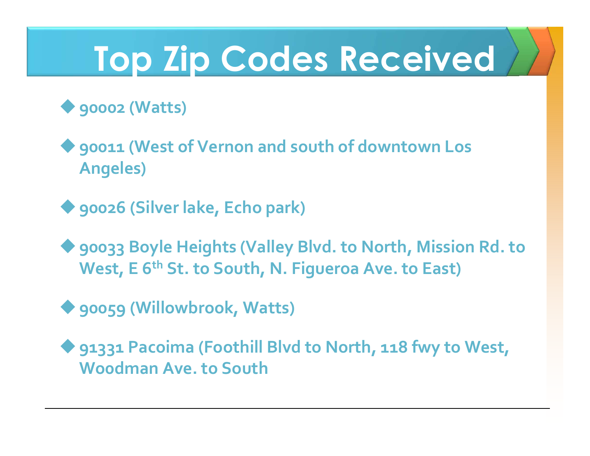# **Top Zip Codes Received**

#### ◆ 90002 (Watts)

 $\blacklozenge$  90011 (West of Vernon and south of downtown Los **Angeles)**

◆ 90026 (Silver lake, Echo park)

◆ 90033 Boyle Heights (Valley Blvd. to North, Mission Rd. to **West, E 6th St. to South, N. Figueroa Ave. to East)**

◆ 90059 (Willowbrook, Watts)

◆ 91331 Pacoima (Foothill Blvd to North, 118 fwy to West, **Wo0dman Ave. to South**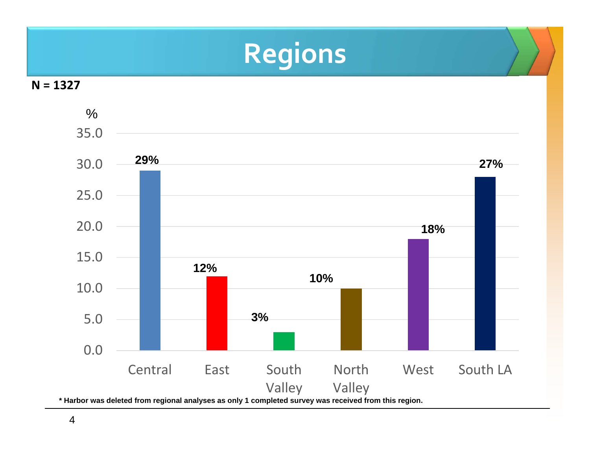## **Regions**



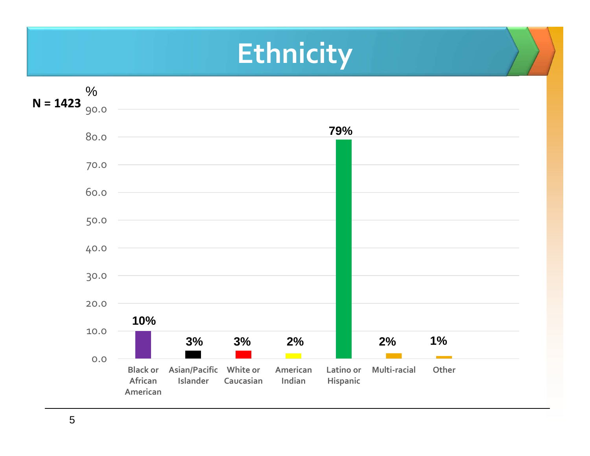### **Ethnicity**

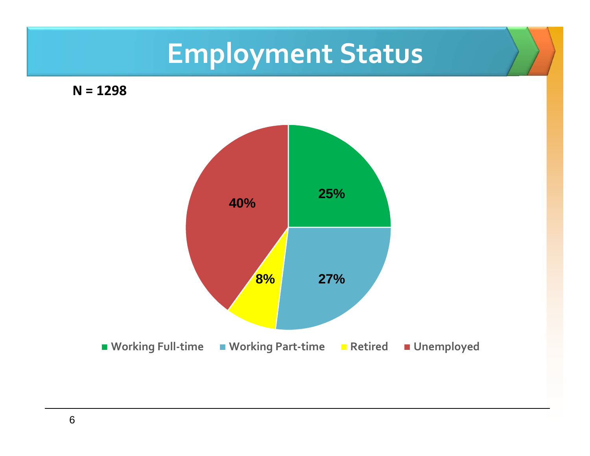## **Employment Status**

**N = 1298**

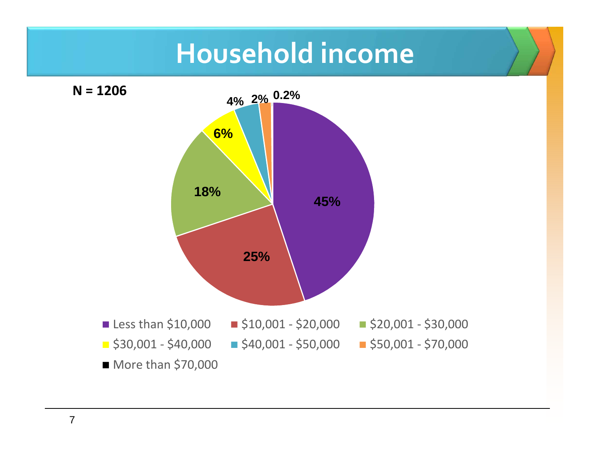### **Household income**



7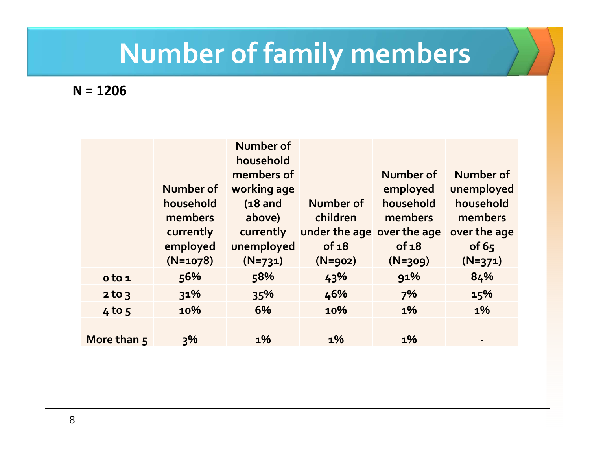## **Number of family members**

**N = 1206**

|             |            | Number of   |                            |           |                |
|-------------|------------|-------------|----------------------------|-----------|----------------|
|             |            | household   |                            |           |                |
|             |            | members of  |                            | Number of | Number of      |
|             | Number of  | working age |                            | employed  | unemployed     |
|             | household  | $(18$ and   | Number of                  | household | household      |
|             | members    | above)      | children                   | members   | members        |
|             | currently  | currently   | under the age over the age |           | over the age   |
|             | employed   | unemployed  | of 18                      | of 18     | of $65$        |
|             | $(N=1078)$ | $(N=731)$   | $(N = 902)$                | $(N=309)$ | $(N=371)$      |
| o to 1      | 56%        | 58%         | 43%                        | 91%       | 84%            |
| $2$ to $3$  | 31%        | 35%         | 46%                        | 7%        | 15%            |
| $4$ to $5$  | 10%        | 6%          | 10%                        | $1\%$     | $1\%$          |
|             |            |             |                            |           |                |
| More than 5 | 3%         | $1\%$       | $1\%$                      | $1\%$     | $\blacksquare$ |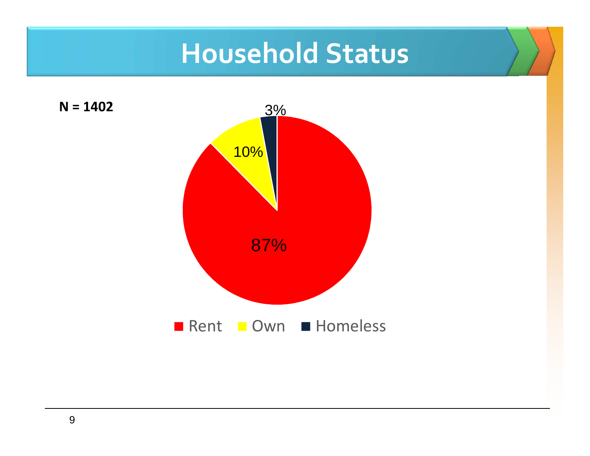### **Household Status**

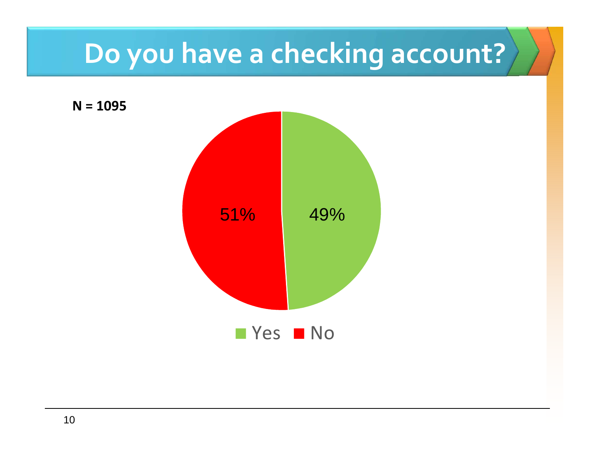## **Do you have a checking account?**

**N = 1095**

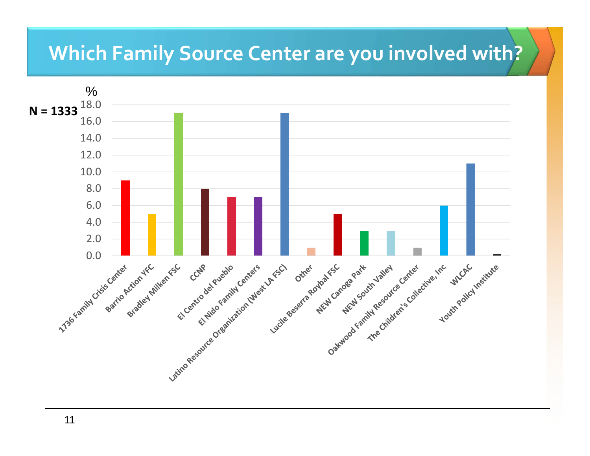#### **Which Family Source Center are you involved with?**

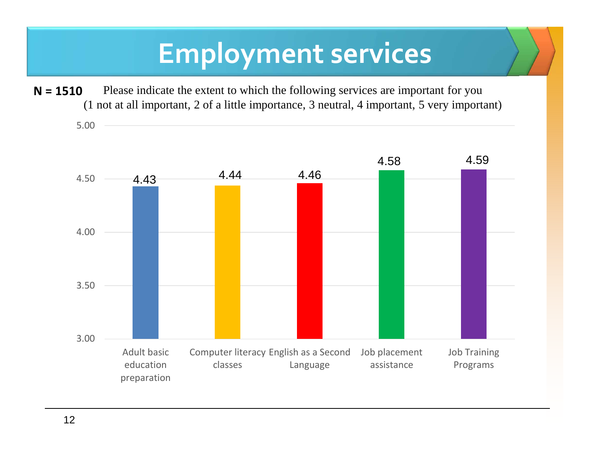### **Employment services**

Please indicate the extent to which the following services are important for you (1 not at all important, 2 of a little importance, 3 neutral, 4 important, 5 very important)**N = 1510**

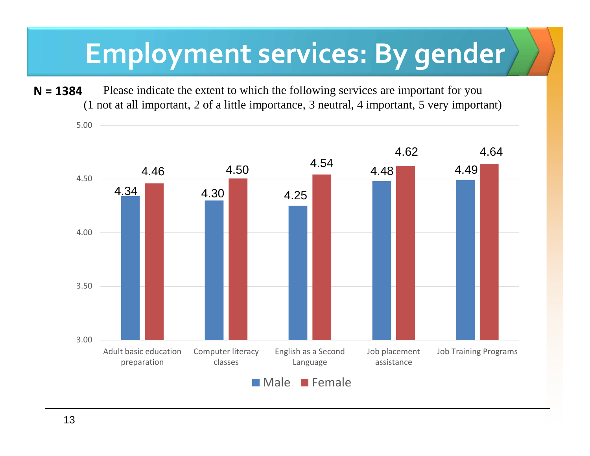### **Employment services: By gender**

Please indicate the extent to which the following services are important for you (1 not at all important, 2 of a little importance, 3 neutral, 4 important, 5 very important)**N = 1384**

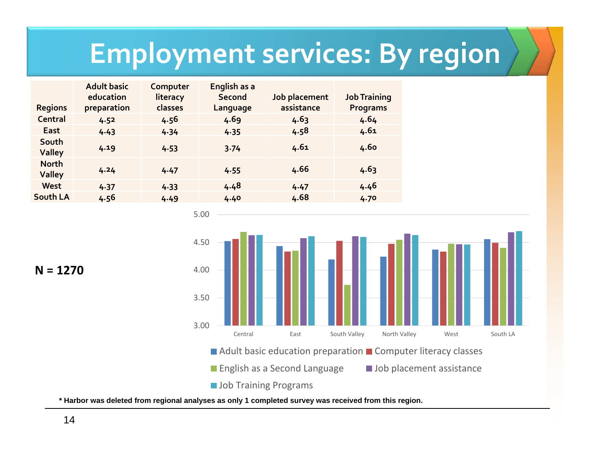### **Employment services: By region**

| <b>Regions</b>                | <b>Adult basic</b><br>education<br>preparation | Computer<br>literacy<br>classes | English as a<br><b>Second</b><br>Language | Job placement<br>assistance | <b>Job Training</b><br><b>Programs</b> |
|-------------------------------|------------------------------------------------|---------------------------------|-------------------------------------------|-----------------------------|----------------------------------------|
| Central                       | 4.52                                           | 4.56                            | 4.69                                      | 4.63                        | 4.64                                   |
| <b>East</b>                   | 4.43                                           | 4.34                            | 4.35                                      | 4.58                        | 4.61                                   |
| South<br><b>Valley</b>        | 4.19                                           | 4.53                            | 3.74                                      | 4.61                        | 4.60                                   |
| <b>North</b><br><b>Valley</b> | 4.24                                           | 4.47                            | 4.55                                      | 4.66                        | 4.63                                   |
| <b>West</b>                   | 4.37                                           | 4.33                            | 4.48                                      | 4.47                        | 4.46                                   |
| South LA                      | 4.56                                           | 4.49                            | 4.40                                      | 4.68                        | 4.70                                   |

5.00



**N = 1270**

**\* Harbor was deleted from regional analyses as only 1 completed survey was received from this region.**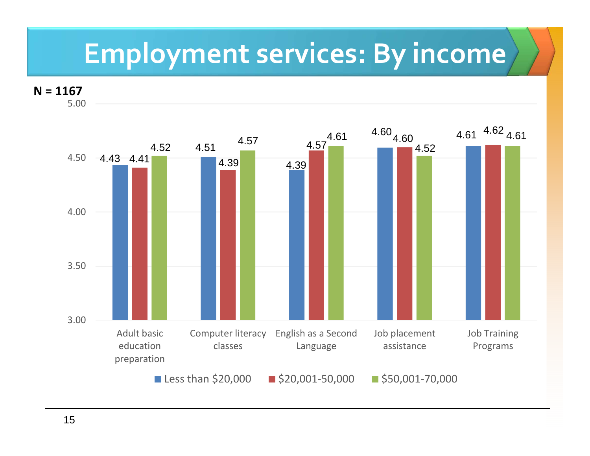### **Employment services: By income**

**N = 1167**

5.00

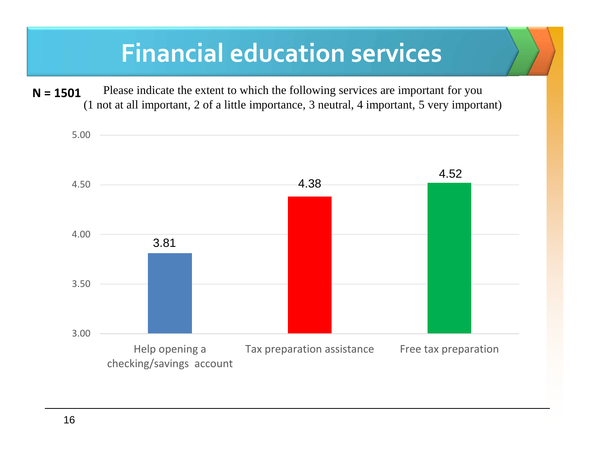#### **Financial education services**

Please indicate the extent to which the following services are important for you (1 not at all important, 2 of a little importance, 3 neutral, 4 important, 5 very important)**N = 1501**

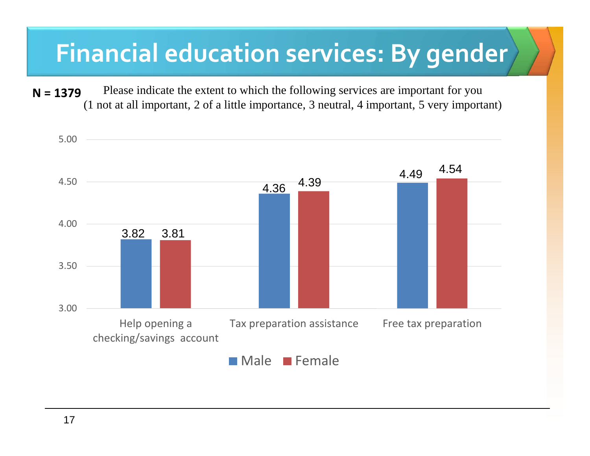#### **Financial education services: By gender**

Please indicate the extent to which the following services are important for you (1 not at all important, 2 of a little importance, 3 neutral, 4 important, 5 very important)**N = 1379**

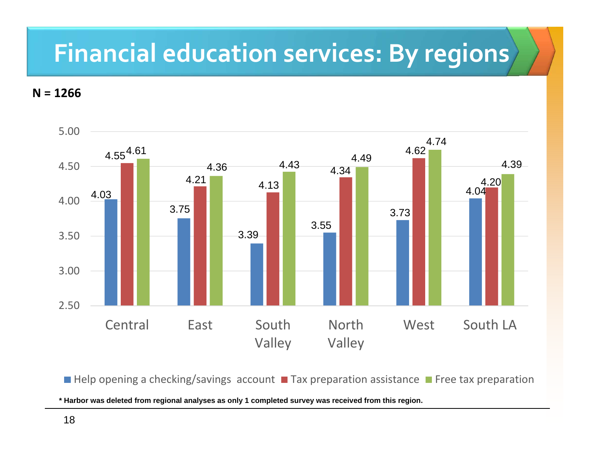#### **Financial education services: By regions**

**N = 1266**



Help opening a checking/savings account **T**ax preparation assistance TFree tax preparation

**\* Harbor was deleted from regional analyses as only 1 completed survey was received from this region.**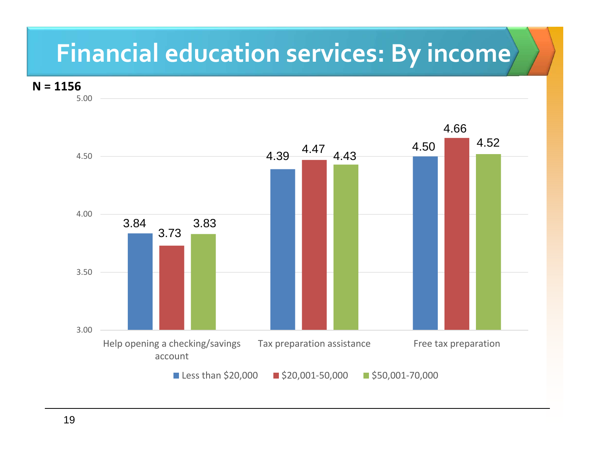### **Financial education services: By income**

**N = 1156**

5.00

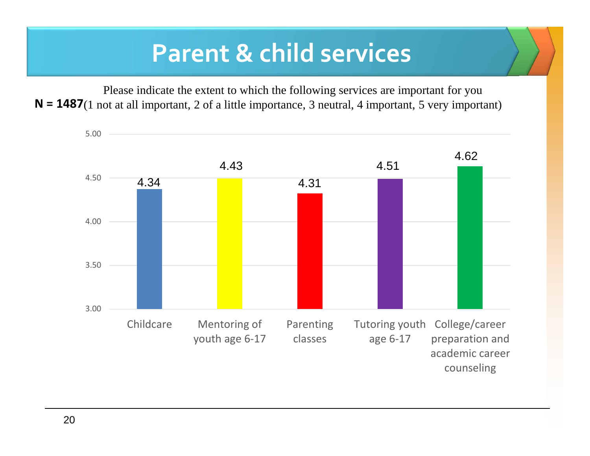#### **Parent & child services**

Please indicate the extent to which the following services are important for you N = 1487(1 not at all important, 2 of a little importance, 3 neutral, 4 important, 5 very important)

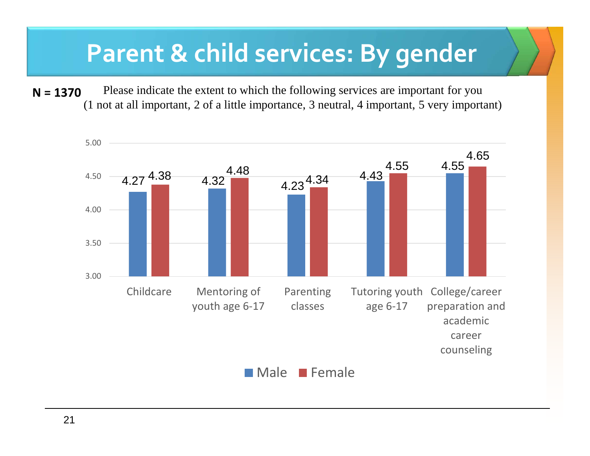#### **Parent & child services: By gender**

Please indicate the extent to which the following services are important for you (1 not at all important, 2 of a little importance, 3 neutral, 4 important, 5 very important)**N = 1370**

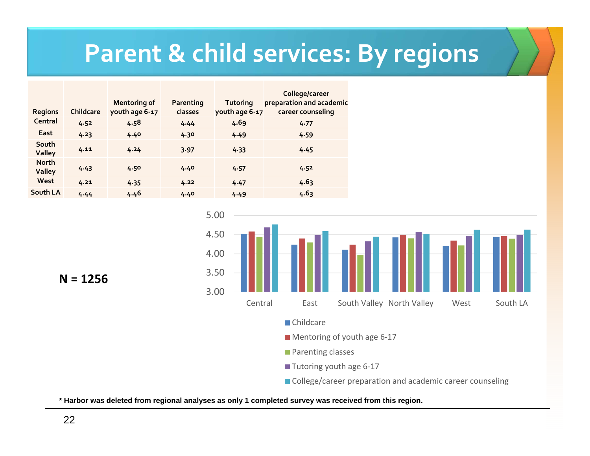#### **Parent & child services: By regions**

| <b>Regions</b>                | <b>Childcare</b> | <b>Mentoring of</b><br>youth age 6-17 | Parenting<br>classes | Tutoring<br>youth age 6-17 | College/career<br>preparation and academic<br>career counseling |
|-------------------------------|------------------|---------------------------------------|----------------------|----------------------------|-----------------------------------------------------------------|
| Central                       | 4.52             | 4.58                                  | 4.44                 | 4.69                       | 4.77                                                            |
| East                          | 4.23             | 4.40                                  | 4.30                 | 4.49                       | 4.59                                                            |
| South<br><b>Valley</b>        | 4.11             | 4.24                                  | 3.97                 | 4.33                       | 4.45                                                            |
| <b>North</b><br><b>Valley</b> | 4.43             | 4.50                                  | 4.40                 | 4.57                       | 4.52                                                            |
| West                          | 4.21             | 4.35                                  | 4.22                 | 4.47                       | 4.63                                                            |
| South LA                      | 4.44             | 4.46                                  | 4.40                 | 4.49                       | 4.63                                                            |



**N = 1256**

**\* Harbor was deleted from regional analyses as only 1 completed survey was received from this region.**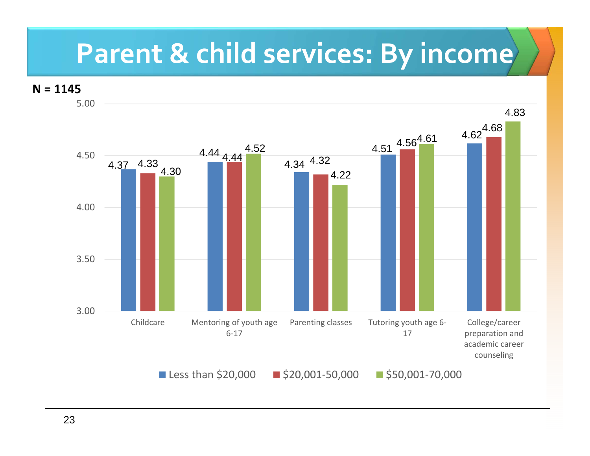### **Parent & child services: By income**

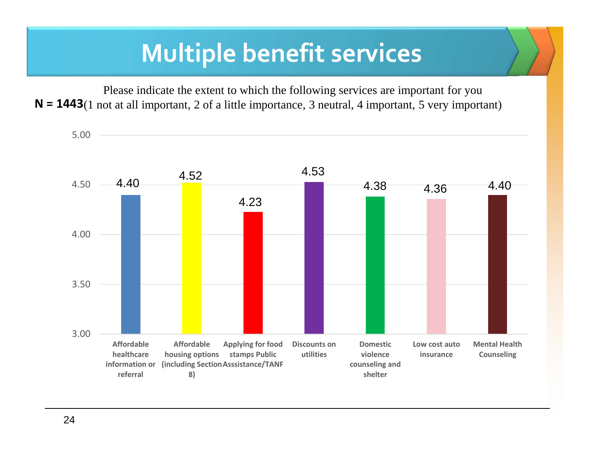#### **Multiple benefit services**

Please indicate the extent to which the following services are important for you N = 1443(1 not at all important, 2 of a little importance, 3 neutral, 4 important, 5 very important)

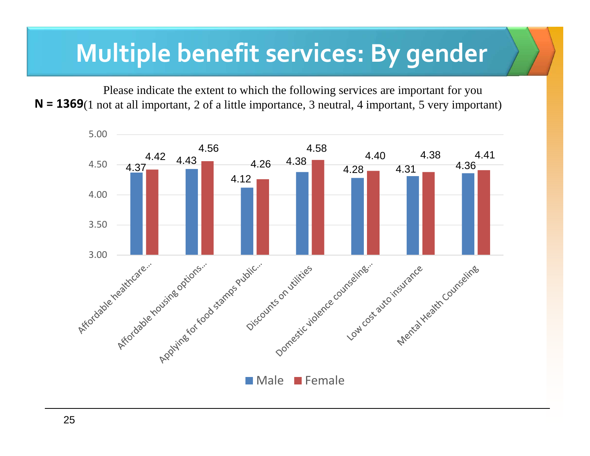#### **Multiple benefit services: By gender**

Please indicate the extent to which the following services are important for you N = 1369(1 not at all important, 2 of a little importance, 3 neutral, 4 important, 5 very important)

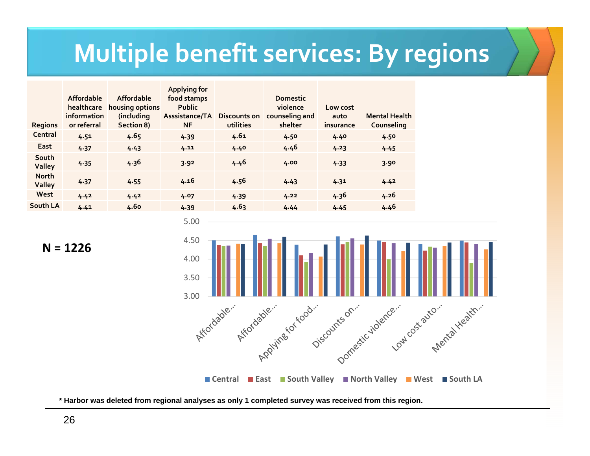#### **Multiple benefit services: By regions**

| <b>Regions</b>                | <b>Affordable</b><br>healthcare<br>information<br>or referral | Affordable<br>housing options<br>(including<br>Section 8) | <b>Applying for</b><br>food stamps<br><b>Public</b><br>Asssistance/TA<br><b>NF</b> | Discounts on<br>utilities | <b>Domestic</b><br>violence<br>counseling and<br>shelter | Low cost<br>auto<br>insurance | <b>Mental Health</b><br>Counseling |
|-------------------------------|---------------------------------------------------------------|-----------------------------------------------------------|------------------------------------------------------------------------------------|---------------------------|----------------------------------------------------------|-------------------------------|------------------------------------|
| Central                       | 4.51                                                          | 4.65                                                      | 4.39                                                                               | 4.61                      | 4.50                                                     | 4.40                          | 4.50                               |
| East                          | 4.37                                                          | 4.43                                                      | 4.11                                                                               | 4.40                      | 4.46                                                     | 4.23                          | 4.45                               |
| South<br><b>Valley</b>        | 4.35                                                          | 4.36                                                      | 3.92                                                                               | 4.46                      | 4.00                                                     | 4.33                          | 3.90                               |
| <b>North</b><br><b>Valley</b> | 4.37                                                          | 4.55                                                      | 4.16                                                                               | 4.56                      | 4.43                                                     | 4.31                          | 4.42                               |
| West                          | 4.42                                                          | 4.42                                                      | 4.07                                                                               | 4.39                      | 4.22                                                     | 4.36                          | 4.26                               |
| South LA                      | 4.41                                                          | 4.60                                                      | 4.39                                                                               | 4.63                      | 4.44                                                     | 4.45                          | 4.46                               |



**N = 1226**

**\* Harbor was deleted from regional analyses as only 1 completed survey was received from this region.**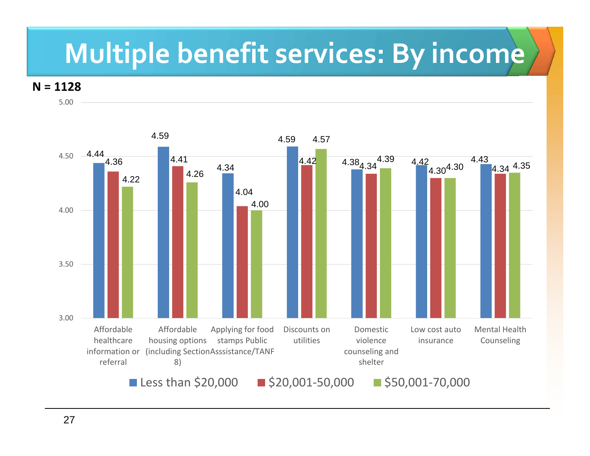### **Multiple benefit services: By income**

**N = 1128**

5.00

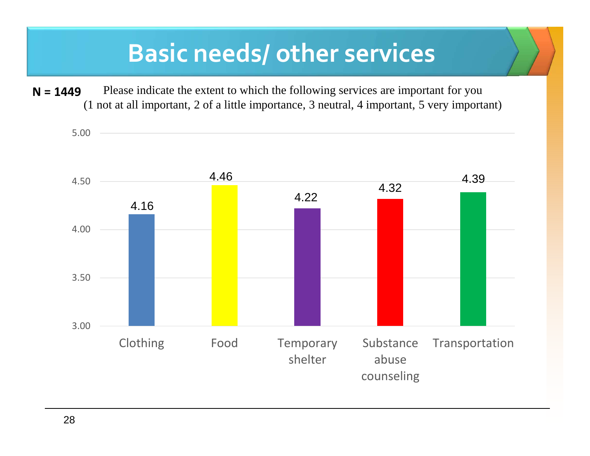#### **Basic needs/ other services**

Please indicate the extent to which the following services are important for you (1 not at all important, 2 of a little importance, 3 neutral, 4 important, 5 very important)**N = 1449**

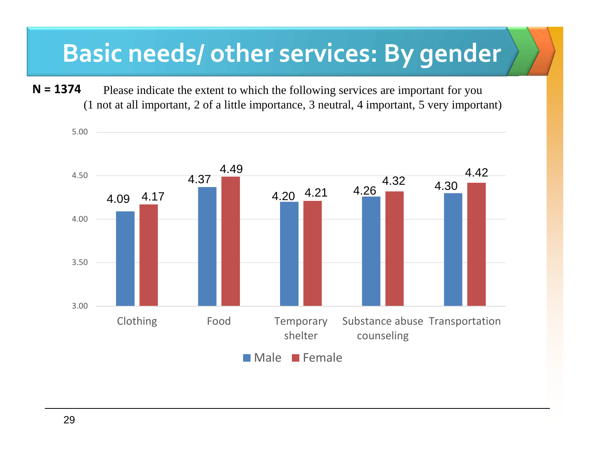#### **Basic needs/ other services: By gender**

Please indicate the extent to which the following services are important for you (1 not at all important, 2 of a little importance, 3 neutral, 4 important, 5 very important)**N = 1374**

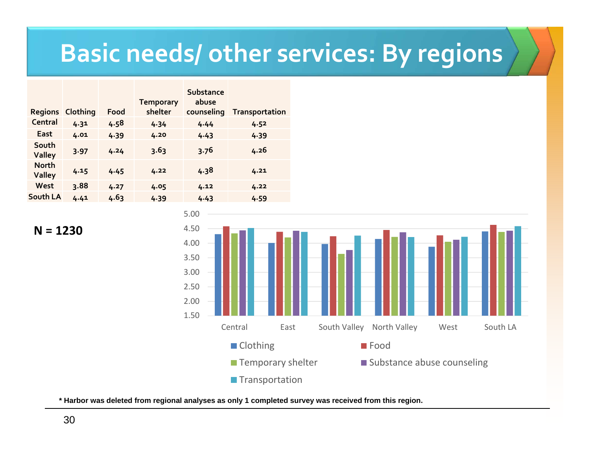#### **Basic needs/ other services: By regions**

| Clothing | Food | <b>Temporary</b><br>shelter | Substance<br>abuse<br>counseling | <b>Transportation</b> |
|----------|------|-----------------------------|----------------------------------|-----------------------|
| 4.31     | 4.58 | 4.34                        | 4.44                             | 4.52                  |
| 4.01     | 4.39 | 4.20                        | 4.43                             | 4.39                  |
| 3.97     | 4.24 | 3.63                        | 3.76                             | 4.26                  |
| 4.15     | 4.45 | 4.22                        | 4.38                             | 4.21                  |
| 3.88     | 4.27 | 4.05                        | 4.12                             | 4.22                  |
| 4.41     | 4.63 | 4.39                        | 4.43                             | 4.59                  |
|          |      |                             |                                  |                       |

1.502.002.503.003.504.004.505.00Central East South Valley North Valley West South LA■ Clothing **Food Temporary shelter** ■ Substance abuse counseling **Transportation** 



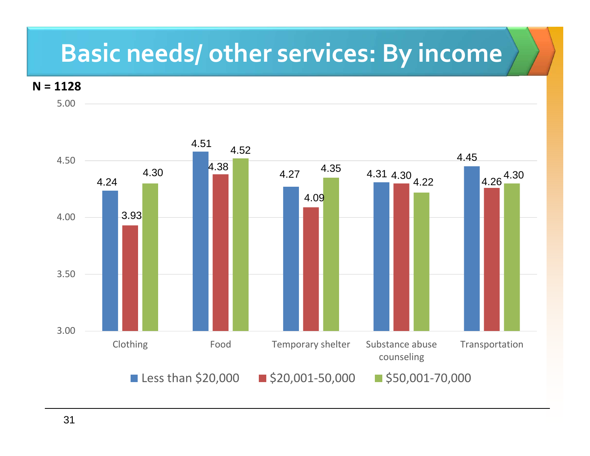#### **Basic needs/ other services: By income**

#### **N = 1128**

5.00

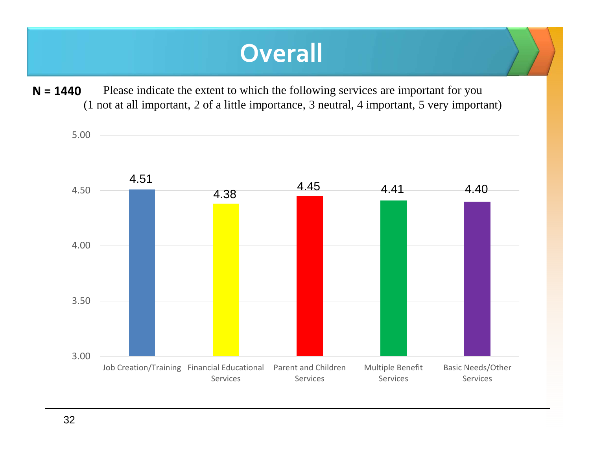#### **Overall**

Please indicate the extent to which the following services are important for you (1 not at all important, 2 of a little importance, 3 neutral, 4 important, 5 very important)**N = 1440**

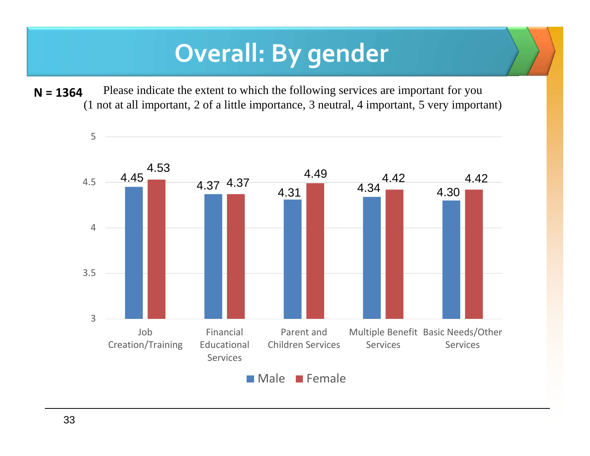### **Overall: By gender**

Please indicate the extent to which the following services are important for you (1 not at all important, 2 of a little importance, 3 neutral, 4 important, 5 very important)**N = 1364**

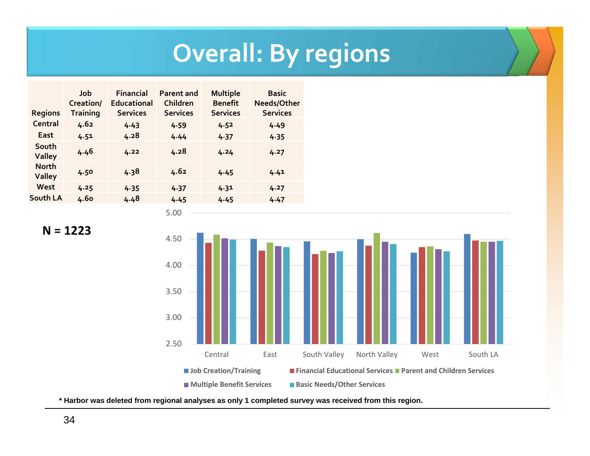### **Overall: By regions**

| <b>Regions</b>                | Job<br>Creation/<br><b>Training</b> | <b>Financial</b><br><b>Educational</b><br><b>Services</b> | <b>Parent and</b><br>Children<br><b>Services</b> | <b>Multiple</b><br><b>Benefit</b><br><b>Services</b> | <b>Basic</b><br>Needs/Other<br><b>Services</b> |
|-------------------------------|-------------------------------------|-----------------------------------------------------------|--------------------------------------------------|------------------------------------------------------|------------------------------------------------|
| Central                       | 4.62                                | 4.43                                                      | 4.59                                             | 4.52                                                 | 4.49                                           |
| East                          | 4.51                                | 4.28                                                      | 4.44                                             | 4.37                                                 | 4.35                                           |
| South<br><b>Valley</b>        | 4.46                                | 4.22                                                      | 4.28                                             | 4.24                                                 | 4.27                                           |
| <b>North</b><br><b>Valley</b> | 4.50                                | 4.38                                                      | 4.62                                             | 4.45                                                 | 4.41                                           |
| West                          | 4.25                                | 4.35                                                      | 4.37                                             | 4.31                                                 | 4.27                                           |
| South LA                      | 4.60                                | 4.48                                                      | 4.45                                             | 4.45                                                 | 4.47                                           |

5.00





**\* Harbor was deleted from regional analyses as only 1 completed survey was received from this region.**